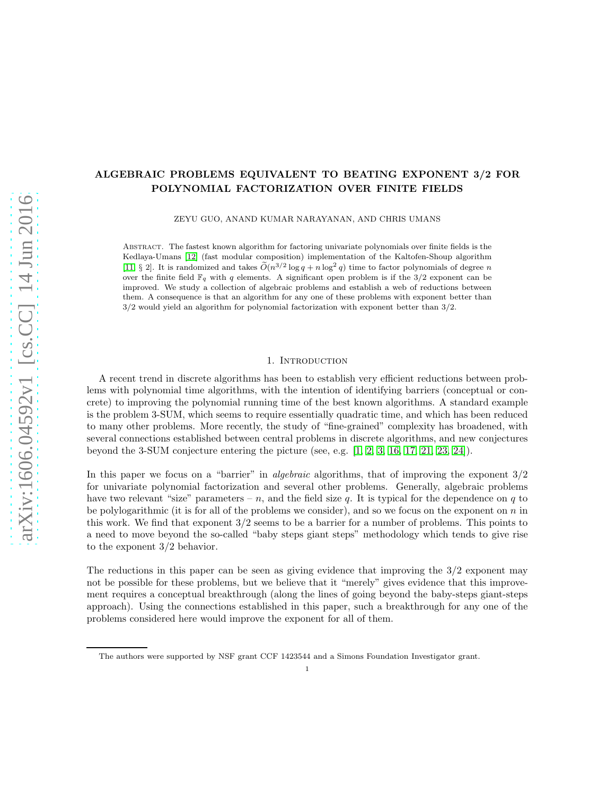# ALGEBRAIC PROBLEMS EQUIVALENT TO BEATING EXPONENT 3/2 FOR POLYNOMIAL FACTORIZATION OVER FINITE FIELDS

ZEYU GUO, ANAND KUMAR NARAYANAN, AND CHRIS UMANS

Abstract. The fastest known algorithm for factoring univariate polynomials over finite fields is the Kedlaya-Umans [\[12\]](#page-15-0) (fast modular composition) implementation of the Kaltofen-Shoup algorithm [\[11,](#page-15-1) § 2]. It is randomized and takes  $\tilde{O}(n^{3/2} \log q + n \log^2 q)$  time to factor polynomials of degree n over the finite field  $\mathbb{F}_q$  with q elements. A significant open problem is if the 3/2 exponent can be improved. We study a collection of algebraic problems and establish a web of reductions between them. A consequence is that an algorithm for any one of these problems with exponent better than 3/2 would yield an algorithm for polynomial factorization with exponent better than 3/2.

### 1. INTRODUCTION

A recent trend in discrete algorithms has been to establish very efficient reductions between problems with polynomial time algorithms, with the intention of identifying barriers (conceptual or concrete) to improving the polynomial running time of the best known algorithms. A standard example is the problem 3-SUM, which seems to require essentially quadratic time, and which has been reduced to many other problems. More recently, the study of "fine-grained" complexity has broadened, with several connections established between central problems in discrete algorithms, and new conjectures beyond the 3-SUM conjecture entering the picture (see, e.g. [\[1,](#page-14-0) [2,](#page-14-1) [3,](#page-14-2) [16,](#page-15-2) [17,](#page-15-3) [21,](#page-15-4) [23,](#page-15-5) [24\]](#page-15-6)).

In this paper we focus on a "barrier" in *algebraic* algorithms, that of improving the exponent 3/2 for univariate polynomial factorization and several other problems. Generally, algebraic problems have two relevant "size" parameters – n, and the field size q. It is typical for the dependence on q to be polylogarithmic (it is for all of the problems we consider), and so we focus on the exponent on  $n$  in this work. We find that exponent 3/2 seems to be a barrier for a number of problems. This points to a need to move beyond the so-called "baby steps giant steps" methodology which tends to give rise to the exponent 3/2 behavior.

The reductions in this paper can be seen as giving evidence that improving the 3/2 exponent may not be possible for these problems, but we believe that it "merely" gives evidence that this improvement requires a conceptual breakthrough (along the lines of going beyond the baby-steps giant-steps approach). Using the connections established in this paper, such a breakthrough for any one of the problems considered here would improve the exponent for all of them.

The authors were supported by NSF grant CCF 1423544 and a Simons Foundation Investigator grant.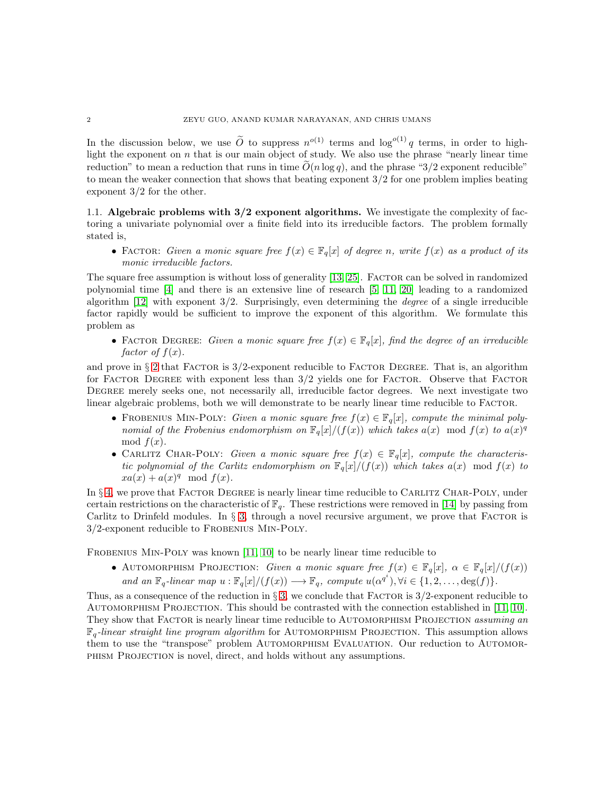In the discussion below, we use  $\tilde{O}$  to suppress  $n^{o(1)}$  terms and  $\log^{o(1)} q$  terms, in order to highlight the exponent on  $n$  that is our main object of study. We also use the phrase "nearly linear time" reduction" to mean a reduction that runs in time  $O(n \log q)$ , and the phrase "3/2 exponent reducible" to mean the weaker connection that shows that beating exponent 3/2 for one problem implies beating exponent 3/2 for the other.

1.1. Algebraic problems with 3/2 exponent algorithms. We investigate the complexity of factoring a univariate polynomial over a finite field into its irreducible factors. The problem formally stated is,

• FACTOR: *Given a monic square free*  $f(x) \in \mathbb{F}_q[x]$  *of degree n, write*  $f(x)$  *as a product of its monic irreducible factors.*

The square free assumption is without loss of generality [\[13,](#page-15-7) [25\]](#page-15-8). FACTOR can be solved in randomized polynomial time [\[4\]](#page-14-3) and there is an extensive line of research [\[5,](#page-14-4) [11,](#page-15-1) [20\]](#page-15-9) leading to a randomized algorithm [\[12\]](#page-15-0) with exponent 3/2. Surprisingly, even determining the *degree* of a single irreducible factor rapidly would be sufficient to improve the exponent of this algorithm. We formulate this problem as

• FACTOR DEGREE: *Given a monic square free*  $f(x) \in \mathbb{F}_q[x]$ *, find the degree of an irreducible factor of*  $f(x)$ *.* 

and prove in  $\S 2$  $\S 2$  that FACTOR is  $3/2$ -exponent reducible to FACTOR DEGREE. That is, an algorithm for FACTOR DEGREE with exponent less than  $3/2$  yields one for FACTOR. Observe that FACTOR DEGREE merely seeks one, not necessarily all, irreducible factor degrees. We next investigate two linear algebraic problems, both we will demonstrate to be nearly linear time reducible to FACTOR.

- FROBENIUS MIN-POLY: *Given a monic square free*  $f(x) \in \mathbb{F}_q[x]$ *, compute the minimal polynomial of the Frobenius endomorphism on*  $\mathbb{F}_q[x]/(f(x))$  *which takes*  $a(x) \mod f(x)$  *to*  $a(x)^q$ mod  $f(x)$ .
- CARLITZ CHAR-POLY: *Given a monic square free*  $f(x) \in \mathbb{F}_q[x]$ *, compute the characteristic polynomial of the Carlitz endomorphism on*  $\mathbb{F}_q[x]/(f(x))$  *which takes*  $a(x)$  mod  $f(x)$  *to*  $xa(x) + a(x)^q \mod f(x)$ .

In § [4,](#page-11-0) we prove that FACTOR DEGREE is nearly linear time reducible to CARLITZ CHAR-POLY, under certain restrictions on the characteristic of  $\mathbb{F}_q$ . These restrictions were removed in [\[14\]](#page-15-10) by passing from Carlitz to Drinfeld modules. In  $\S$  [3,](#page-3-0) through a novel recursive argument, we prove that FACTOR is 3/2-exponent reducible to Frobenius Min-Poly.

FROBENIUS MIN-POLY was known [\[11,](#page-15-1) [10\]](#page-15-11) to be nearly linear time reducible to

• AUTOMORPHISM PROJECTION: *Given a monic square free*  $f(x) \in \mathbb{F}_q[x]$ ,  $\alpha \in \mathbb{F}_q[x]/(f(x))$ *and an*  $\mathbb{F}_q$ -linear map  $u : \mathbb{F}_q[x]/(f(x)) \longrightarrow \mathbb{F}_q$ , compute  $u(\alpha^{q^i}), \forall i \in \{1, 2, \ldots, \deg(f)\}.$ 

Thus, as a consequence of the reduction in  $\S 3$ , we conclude that FACTOR is  $3/2$ -exponent reducible to AUTOMORPHISM PROJECTION. This should be contrasted with the connection established in [\[11,](#page-15-1) [10\]](#page-15-11). They show that Factor is nearly linear time reducible to Automorphism Projection *assuming an*  $\mathbb{F}_q$ -linear straight line program algorithm for AUTOMORPHISM PROJECTION. This assumption allows them to use the "transpose" problem AUTOMORPHISM EVALUATION. Our reduction to AUTOMOR-PHISM PROJECTION is novel, direct, and holds without any assumptions.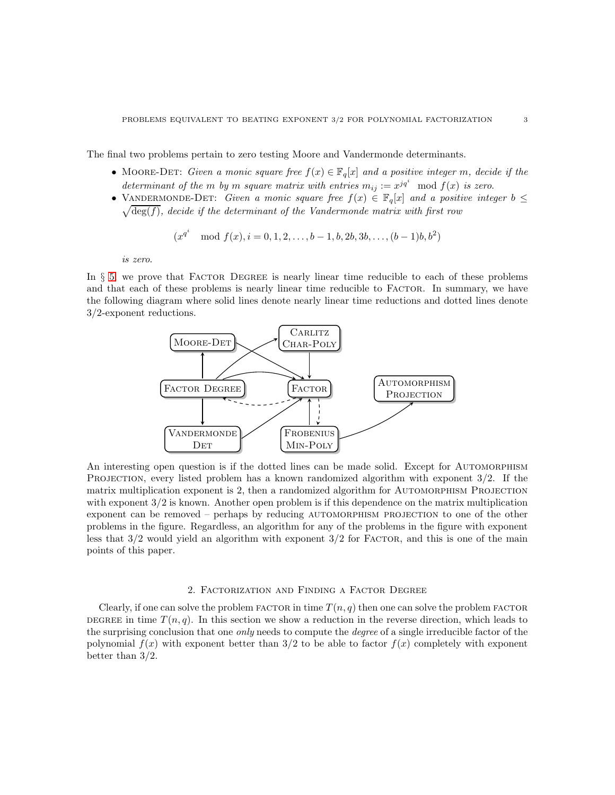The final two problems pertain to zero testing Moore and Vandermonde determinants.

- MOORE-DET: *Given a monic square free*  $f(x) \in \mathbb{F}_q[x]$  *and a positive integer m, decide if the* determinant of the m by m square matrix with entries  $m_{ij} := x^{jq^i} \mod f(x)$  is zero.
- VANDERMONDE-DET: *Given a monic square free*  $f(x) \in \mathbb{F}_q[x]$  *and a positive integer*  $b \leq$  $\sqrt{\deg(f)}$ , decide if the determinant of the Vandermonde matrix with first row

$$
(x^{q^i} \mod f(x), i = 0, 1, 2, \ldots, b-1, b, 2b, 3b, \ldots, (b-1)b, b^2)
$$

*is zero*.

In  $\S$  [5,](#page-12-0) we prove that FACTOR DEGREE is nearly linear time reducible to each of these problems and that each of these problems is nearly linear time reducible to FACTOR. In summary, we have the following diagram where solid lines denote nearly linear time reductions and dotted lines denote 3/2-exponent reductions.



An interesting open question is if the dotted lines can be made solid. Except for AUTOMORPHISM PROJECTION, every listed problem has a known randomized algorithm with exponent  $3/2$ . If the matrix multiplication exponent is 2, then a randomized algorithm for AUTOMORPHISM PROJECTION with exponent  $3/2$  is known. Another open problem is if this dependence on the matrix multiplication exponent can be removed – perhaps by reducing AUTOMORPHISM PROJECTION to one of the other problems in the figure. Regardless, an algorithm for any of the problems in the figure with exponent less that  $3/2$  would yield an algorithm with exponent  $3/2$  for FACTOR, and this is one of the main points of this paper.

#### 2. Factorization and Finding a Factor Degree

<span id="page-2-0"></span>Clearly, if one can solve the problem FACTOR in time  $T(n, q)$  then one can solve the problem FACTOR DEGREE in time  $T(n, q)$ . In this section we show a reduction in the reverse direction, which leads to the surprising conclusion that one *only* needs to compute the *degree* of a single irreducible factor of the polynomial  $f(x)$  with exponent better than 3/2 to be able to factor  $f(x)$  completely with exponent better than 3/2.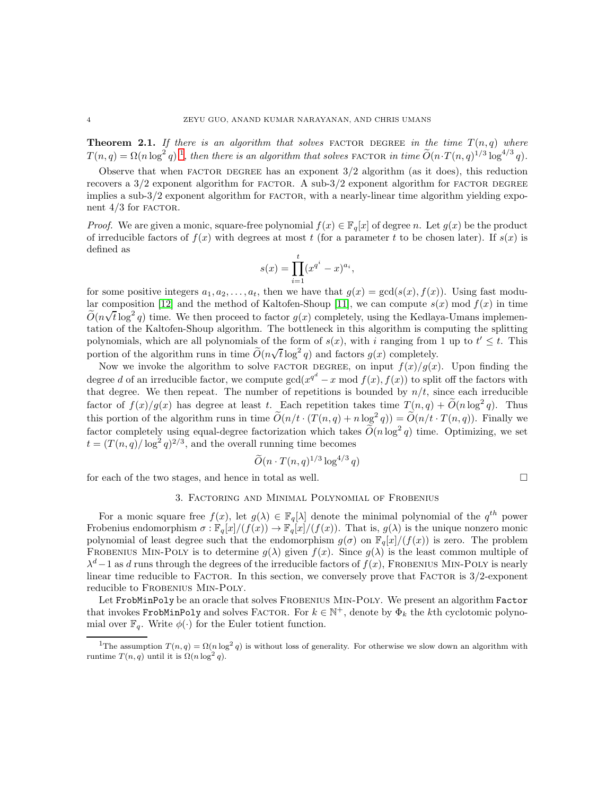**Theorem 2.1.** If there is an algorithm that solves FACTOR DEGREE in the time  $T(n,q)$  where  $T(n,q) = \Omega(n \log^2 q)^{-1}$  $T(n,q) = \Omega(n \log^2 q)^{-1}$  $T(n,q) = \Omega(n \log^2 q)^{-1}$ , then there is an algorithm that solves FACTOR in time  $\widetilde{O}(n \cdot T(n,q)^{1/3} \log^{4/3} q)$ .

Observe that when FACTOR DEGREE has an exponent  $3/2$  algorithm (as it does), this reduction recovers a  $3/2$  exponent algorithm for FACTOR. A sub- $3/2$  exponent algorithm for FACTOR DEGREE implies a sub- $3/2$  exponent algorithm for FACTOR, with a nearly-linear time algorithm yielding exponent  $4/3$  for FACTOR.

*Proof.* We are given a monic, square-free polynomial  $f(x) \in \mathbb{F}_q[x]$  of degree n. Let  $g(x)$  be the product of irreducible factors of  $f(x)$  with degrees at most t (for a parameter t to be chosen later). If  $s(x)$  is defined as

$$
s(x) = \prod_{i=1}^{t} (x^{q^i} - x)^{a_i},
$$

for some positive integers  $a_1, a_2, \ldots, a_t$ , then we have that  $g(x) = \gcd(s(x), f(x))$ . Using fast modu-lar composition [\[12\]](#page-15-0) and the method of Kaltofen-Shoup [\[11\]](#page-15-1), we can compute  $s(x) \mod f(x)$  in time  $\widetilde{O}(n\sqrt{t}\log^2 q)$  time. We then proceed to factor  $g(x)$  completely, using the Kedlaya-Umans implementation of the Kaltofen-Shoup algorithm. The bottleneck in this algorithm is computing the splitting polynomials, which are all polynomials of the form of  $s(x)$ , with i ranging from 1 up to  $t' \leq t$ . This portion of the algorithm runs in time  $\tilde{O}(n\sqrt{t}\log^2 q)$  and factors  $g(x)$  completely.

Now we invoke the algorithm to solve FACTOR DEGREE, on input  $f(x)/g(x)$ . Upon finding the degree d of an irreducible factor, we compute  $gcd(x^{q^d} - x \mod f(x), f(x))$  to split off the factors with that degree. We then repeat. The number of repetitions is bounded by  $n/t$ , since each irreducible factor of  $f(x)/g(x)$  has degree at least t. Each repetition takes time  $T(n,q) + \tilde{O}(n \log^2 q)$ . Thus this portion of the algorithm runs in time  $\widetilde{O}(n/t \cdot (T(n,q) + n \log^2 q)) = \widetilde{O}(n/t \cdot T(n,q))$ . Finally we factor completely using equal-degree factorization which takes  $\tilde{O}(n \log^2 q)$  time. Optimizing, we set  $t = (T(n, q)/\log^2 q)^{2/3}$ , and the overall running time becomes

$$
\widetilde{O}(n \cdot T(n,q)^{1/3} \log^{4/3} q)
$$

<span id="page-3-0"></span>for each of the two stages, and hence in total as well.  $\Box$ 

### 3. Factoring and Minimal Polynomial of Frobenius

For a monic square free  $f(x)$ , let  $g(\lambda) \in \mathbb{F}_q[\lambda]$  denote the minimal polynomial of the  $q^{th}$  power Frobenius endomorphism  $\sigma : \mathbb{F}_q[x]/(f(x)) \to \mathbb{F}_q[x]/(f(x))$ . That is,  $g(\lambda)$  is the unique nonzero monic polynomial of least degree such that the endomorphism  $g(\sigma)$  on  $\mathbb{F}_q[x]/(f(x))$  is zero. The problem FROBENIUS MIN-POLY is to determine  $g(\lambda)$  given  $f(x)$ . Since  $g(\lambda)$  is the least common multiple of  $\lambda^d - 1$  as d runs through the degrees of the irreducible factors of  $f(x)$ , FROBENIUS MIN-POLY is nearly linear time reducible to FACTOR. In this section, we conversely prove that FACTOR is  $3/2$ -exponent reducible to FROBENIUS MIN-POLY.

Let FrobMinPoly be an oracle that solves Frobenius Min-Poly. We present an algorithm Factor that invokes FrobMinPoly and solves FACTOR. For  $k \in \mathbb{N}^+$ , denote by  $\Phi_k$  the kth cyclotomic polynomial over  $\mathbb{F}_q$ . Write  $\phi(\cdot)$  for the Euler totient function.

<span id="page-3-1"></span><sup>&</sup>lt;sup>1</sup>The assumption  $T(n,q) = \Omega(n \log^2 q)$  is without loss of generality. For otherwise we slow down an algorithm with runtime  $T(n,q)$  until it is  $\Omega(n \log^2 q)$ .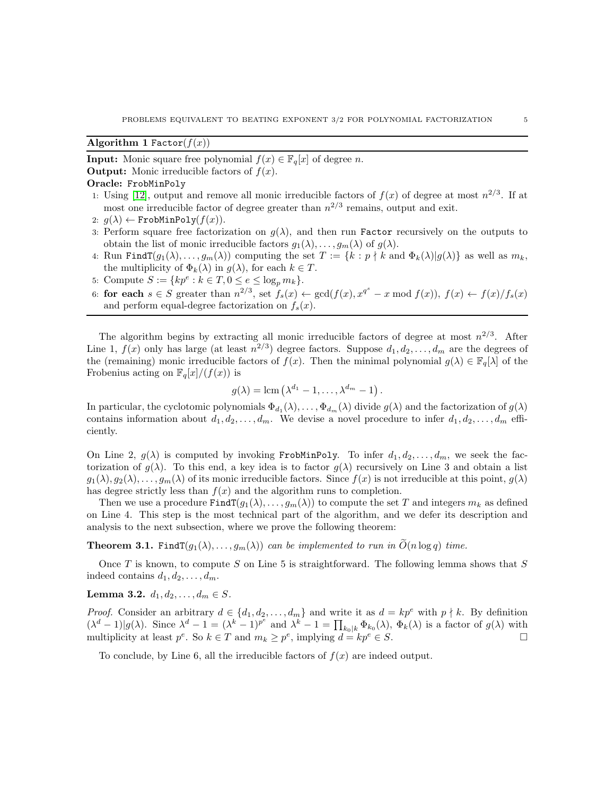# <span id="page-4-1"></span>Algorithm 1 Factor $(f(x))$

**Input:** Monic square free polynomial  $f(x) \in \mathbb{F}_q[x]$  of degree n.

**Output:** Monic irreducible factors of  $f(x)$ .

# Oracle: FrobMinPoly

- 1: Using [\[12\]](#page-15-0), output and remove all monic irreducible factors of  $f(x)$  of degree at most  $n^{2/3}$ . If at most one irreducible factor of degree greater than  $n^{2/3}$  remains, output and exit.
- 2:  $q(\lambda) \leftarrow \text{FrobMinPoly}(f(x)).$
- 3: Perform square free factorization on  $g(\lambda)$ , and then run **Factor** recursively on the outputs to obtain the list of monic irreducible factors  $g_1(\lambda), \ldots, g_m(\lambda)$  of  $g(\lambda)$ .
- 4: Run Find  $T(g_1(\lambda), \ldots, g_m(\lambda))$  computing the set  $T := \{k : p \nmid k \text{ and } \Phi_k(\lambda) | g(\lambda) \}$  as well as  $m_k$ , the multiplicity of  $\Phi_k(\lambda)$  in  $g(\lambda)$ , for each  $k \in T$ .
- 5: Compute  $S := \{ kp^e : k \in T, 0 \le e \le \log_p m_k \}.$
- 6: for each  $s \in S$  greater than  $n^{2/3}$ , set  $f_s(x) \leftarrow \gcd(f(x), x^{q^s} x \mod f(x)), f(x) \leftarrow f(x)/f_s(x)$ and perform equal-degree factorization on  $f_s(x)$ .

The algorithm begins by extracting all monic irreducible factors of degree at most  $n^{2/3}$ . After Line 1,  $f(x)$  only has large (at least  $n^{2/3}$ ) degree factors. Suppose  $d_1, d_2, \ldots, d_m$  are the degrees of the (remaining) monic irreducible factors of  $f(x)$ . Then the minimal polynomial  $g(\lambda) \in \mathbb{F}_q[\lambda]$  of the Frobenius acting on  $\mathbb{F}_q[x]/(f(x))$  is

$$
g(\lambda) = \text{lcm} \left( \lambda^{d_1} - 1, \ldots, \lambda^{d_m} - 1 \right).
$$

In particular, the cyclotomic polynomials  $\Phi_{d_1}(\lambda), \ldots, \Phi_{d_m}(\lambda)$  divide  $g(\lambda)$  and the factorization of  $g(\lambda)$ contains information about  $d_1, d_2, \ldots, d_m$ . We devise a novel procedure to infer  $d_1, d_2, \ldots, d_m$  efficiently.

On Line 2,  $q(\lambda)$  is computed by invoking FrobMinPoly. To infer  $d_1, d_2, \ldots, d_m$ , we seek the factorization of  $g(\lambda)$ . To this end, a key idea is to factor  $g(\lambda)$  recursively on Line 3 and obtain a list  $g_1(\lambda), g_2(\lambda), \ldots, g_m(\lambda)$  of its monic irreducible factors. Since  $f(x)$  is not irreducible at this point,  $g(\lambda)$ has degree strictly less than  $f(x)$  and the algorithm runs to completion.

Then we use a procedure  $\text{FindT}(g_1(\lambda), \ldots, g_m(\lambda))$  to compute the set T and integers  $m_k$  as defined on Line 4. This step is the most technical part of the algorithm, and we defer its description and analysis to the next subsection, where we prove the following theorem:

<span id="page-4-0"></span>**Theorem 3.1.** Find  $T(g_1(\lambda),...,g_m(\lambda))$  *can be implemented to run in*  $\tilde{O}(n \log q)$  *time.* 

Once  $T$  is known, to compute  $S$  on Line 5 is straightforward. The following lemma shows that  $S$ indeed contains  $d_1, d_2, \ldots, d_m$ .

# Lemma 3.2.  $d_1, d_2, \ldots, d_m \in S$ .

*Proof.* Consider an arbitrary  $d \in \{d_1, d_2, \ldots, d_m\}$  and write it as  $d = kp^e$  with  $p \nmid k$ . By definition  $(\lambda^d - 1)|g(\lambda)$ . Since  $\lambda^d - 1 = (\lambda^k - 1)^{p^e}$  and  $\lambda^k - 1 = \prod_{k_0|k} \Phi_{k_0}(\lambda)$ ,  $\Phi_k(\lambda)$  is a factor of  $g(\lambda)$  with multiplicity at least  $p^e$ . So  $k \in T$  and  $m_k \geq p^e$ , implying  $d = kp^e \in S$ .

To conclude, by Line 6, all the irreducible factors of  $f(x)$  are indeed output.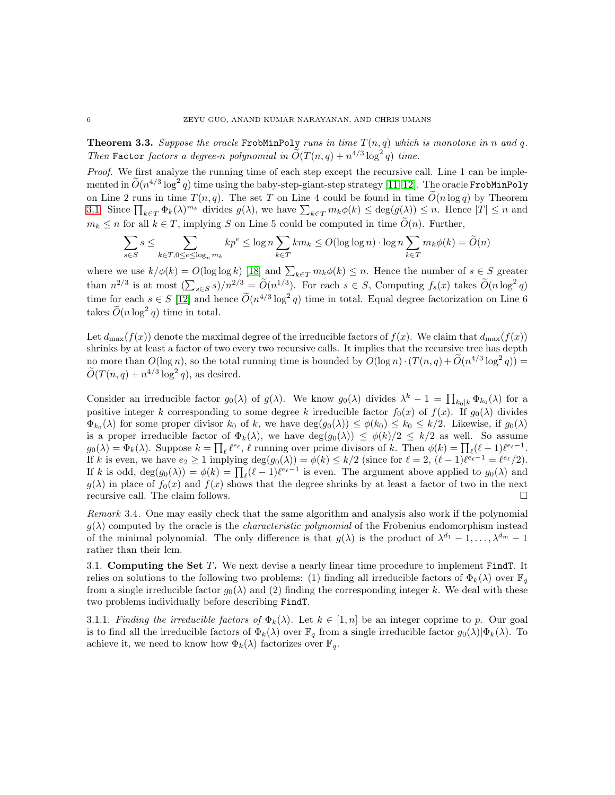**Theorem 3.3.** Suppose the oracle FrobMinPoly runs in time  $T(n,q)$  which is monotone in n and q. *Then* Factor *factors a degree-n polynomial in*  $\widetilde{O}(T(n,q) + n^{4/3} \log^2 q)$  *time.* 

*Proof.* We first analyze the running time of each step except the recursive call. Line 1 can be imple- $\rm{mented}$  in  $\widetilde{O}(n^{4/3}\log^2q)$  time using the baby-step-giant-step strategy  $[11,12].$  The oracle FrobMinPoly on Line 2 runs in time  $T(n, q)$ . The set T on Line 4 could be found in time  $\tilde{O}(n \log q)$  by Theorem [3.1.](#page-4-0) Since  $\prod_{k\in T} \Phi_k(\lambda)^{m_k}$  divides  $g(\lambda)$ , we have  $\sum_{k\in T} m_k \phi(k) \leq \deg(g(\lambda)) \leq n$ . Hence  $|T| \leq n$  and  $m_k \leq n$  for all  $k \in T$ , implying S on Line 5 could be computed in time  $\tilde{O}(n)$ . Further,

$$
\sum_{s \in S} s \leq \sum_{k \in T, 0 \leq e \leq \log_p m_k} kp^e \leq \log n \sum_{k \in T} km_k \leq O(\log \log n) \cdot \log n \sum_{k \in T} m_k \phi(k) = \widetilde{O}(n)
$$

where we use  $k/\phi(k) = O(\log \log k)$  [\[18\]](#page-15-12) and  $\sum_{k \in T} m_k \phi(k) \leq n$ . Hence the number of  $s \in S$  greater than  $n^{2/3}$  is at most  $\left(\sum_{s\in S} s\right)/n^{2/3} = \widetilde{O}(n^{1/3})$ . For each  $s \in S$ , Computing  $f_s(x)$  takes  $\widetilde{O}(n\log^2 q)$ time for each  $s \in S$  [\[12\]](#page-15-0) and hence  $\tilde{O}(n^{4/3} \log^2 q)$  time in total. Equal degree factorization on Line 6 takes  $\tilde{O}(n \log^2 q)$  time in total.

Let  $d_{\text{max}}(f(x))$  denote the maximal degree of the irreducible factors of  $f(x)$ . We claim that  $d_{\text{max}}(f(x))$ shrinks by at least a factor of two every two recursive calls. It implies that the recursive tree has depth no more than  $O(\log n)$ , so the total running time is bounded by  $O(\log n) \cdot (T(n,q) + \widetilde{O}(n^{4/3} \log^2 q)) =$  $\widetilde{O}(T(n,q) + n^{4/3} \log^2 q)$ , as desired.

Consider an irreducible factor  $g_0(\lambda)$  of  $g(\lambda)$ . We know  $g_0(\lambda)$  divides  $\lambda^k - 1 = \prod_{k_0|k} \Phi_{k_0}(\lambda)$  for a positive integer k corresponding to some degree k irreducible factor  $f_0(x)$  of  $f(x)$ . If  $g_0(\lambda)$  divides  $\Phi_{k_0}(\lambda)$  for some proper divisor  $k_0$  of k, we have  $\deg(g_0(\lambda)) \leq \phi(k_0) \leq k_0 \leq k/2$ . Likewise, if  $g_0(\lambda)$ is a proper irreducible factor of  $\Phi_k(\lambda)$ , we have  $\deg(g_0(\lambda)) \leq \phi(k)/2 \leq k/2$  as well. So assume  $g_0(\lambda) = \Phi_k(\lambda)$ . Suppose  $k = \prod_{\ell} \ell^{e_{\ell}}, \ell$  running over prime divisors of k. Then  $\phi(k) = \prod_{\ell} (\ell-1) \ell^{e_{\ell}-1}$ . If k is even, we have  $e_2 \geq 1$  implying  $\deg(g_0(\lambda)) = \phi(k) \leq k/2$  (since for  $\ell = 2$ ,  $(\ell - 1)\ell^{e_\ell - 1} = \ell^{e_\ell}/2$ ). If k is odd,  $deg(g_0(\lambda)) = \phi(k) = \prod_{\ell} (\ell-1) \ell^{e_{\ell}-1}$  is even. The argument above applied to  $g_0(\lambda)$  and  $g(\lambda)$  in place of  $f_0(x)$  and  $f(x)$  shows that the degree shrinks by at least a factor of two in the next recursive call. The claim follows.  $\Box$ 

*Remark* 3.4*.* One may easily check that the same algorithm and analysis also work if the polynomial  $g(\lambda)$  computed by the oracle is the *characteristic polynomial* of the Frobenius endomorphism instead of the minimal polynomial. The only difference is that  $g(\lambda)$  is the product of  $\lambda^{d_1} - 1, \ldots, \lambda^{d_m} - 1$ rather than their lcm.

3.1. Computing the Set  $T$ . We next devise a nearly linear time procedure to implement FindT. It relies on solutions to the following two problems: (1) finding all irreducible factors of  $\Phi_k(\lambda)$  over  $\mathbb{F}_q$ from a single irreducible factor  $g_0(\lambda)$  and (2) finding the corresponding integer k. We deal with these two problems individually before describing FindT.

3.1.1. *Finding the irreducible factors of*  $\Phi_k(\lambda)$ . Let  $k \in [1, n]$  be an integer coprime to p. Our goal is to find all the irreducible factors of  $\Phi_k(\lambda)$  over  $\mathbb{F}_q$  from a single irreducible factor  $g_0(\lambda)|\Phi_k(\lambda)$ . To achieve it, we need to know how  $\Phi_k(\lambda)$  factorizes over  $\mathbb{F}_q$ .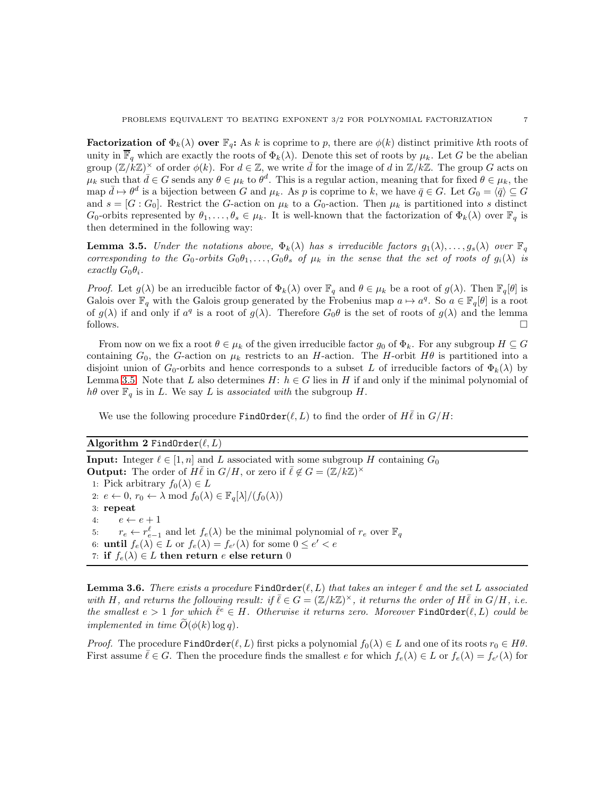**Factorization of**  $\Phi_k(\lambda)$  over  $\mathbb{F}_q$ : As k is coprime to p, there are  $\phi(k)$  distinct primitive kth roots of unity in  $\overline{\mathbb{F}}_q$  which are exactly the roots of  $\Phi_k(\lambda)$ . Denote this set of roots by  $\mu_k$ . Let G be the abelian group  $(\mathbb{Z}/k\mathbb{Z})^{\times}$  of order  $\phi(k)$ . For  $d \in \mathbb{Z}$ , we write  $\bar{d}$  for the image of d in  $\mathbb{Z}/k\mathbb{Z}$ . The group G acts on  $\mu_k$  such that  $\bar{d} \in G$  sends any  $\theta \in \mu_k$  to  $\theta^d$ . This is a regular action, meaning that for fixed  $\theta \in \mu_k$ , the map  $\bar{d} \mapsto \theta^d$  is a bijection between G and  $\mu_k$ . As p is coprime to k, we have  $\bar{q} \in G$ . Let  $G_0 = \langle \bar{q} \rangle \subseteq G$ and  $s = [G : G_0]$ . Restrict the G-action on  $\mu_k$  to a  $G_0$ -action. Then  $\mu_k$  is partitioned into s distinct  $G_0$ -orbits represented by  $\theta_1, \ldots, \theta_s \in \mu_k$ . It is well-known that the factorization of  $\Phi_k(\lambda)$  over  $\mathbb{F}_q$  is then determined in the following way:

<span id="page-6-0"></span>**Lemma 3.5.** *Under the notations above,*  $\Phi_k(\lambda)$  *has s irreducible factors*  $g_1(\lambda), \ldots, g_s(\lambda)$  *over*  $\mathbb{F}_q$ *corresponding to the*  $G_0$ -*orbits*  $G_0\theta_1,\ldots,G_0\theta_s$  *of*  $\mu_k$  *in the sense that the set of roots of*  $g_i(\lambda)$  *is exactly*  $G_0\theta_i$ *.* 

*Proof.* Let  $g(\lambda)$  be an irreducible factor of  $\Phi_k(\lambda)$  over  $\mathbb{F}_q$  and  $\theta \in \mu_k$  be a root of  $g(\lambda)$ . Then  $\mathbb{F}_q[\theta]$  is Galois over  $\mathbb{F}_q$  with the Galois group generated by the Frobenius map  $a \mapsto a^q$ . So  $a \in \mathbb{F}_q[\theta]$  is a root of  $g(\lambda)$  if and only if  $a^q$  is a root of  $g(\lambda)$ . Therefore  $G_0\theta$  is the set of roots of  $g(\lambda)$  and the lemma follows.  $\Box$ 

From now on we fix a root  $\theta \in \mu_k$  of the given irreducible factor  $g_0$  of  $\Phi_k$ . For any subgroup  $H \subseteq G$ containing  $G_0$ , the G-action on  $\mu_k$  restricts to an H-action. The H-orbit H $\theta$  is partitioned into a disjoint union of  $G_0$ -orbits and hence corresponds to a subset L of irreducible factors of  $\Phi_k(\lambda)$  by Lemma [3.5.](#page-6-0) Note that L also determines  $H: h \in G$  lies in H if and only if the minimal polynomial of  $h\theta$  over  $\mathbb{F}_q$  is in L. We say L is *associated with* the subgroup H.

We use the following procedure FindOrder( $\ell, L$ ) to find the order of  $H\ell$  in  $G/H$ :

## Algorithm 2 FindOrder $(\ell, L)$

**Input:** Integer  $\ell \in [1, n]$  and L associated with some subgroup H containing  $G_0$ **Output:** The order of  $H\bar{\ell}$  in  $G/H$ , or zero if  $\bar{\ell} \notin G = (\mathbb{Z}/k\mathbb{Z})^{\times}$ 1: Pick arbitrary  $f_0(\lambda) \in L$ 2:  $e \leftarrow 0$ ,  $r_0 \leftarrow \lambda \mod f_0(\lambda) \in \mathbb{F}_q[\lambda]/(f_0(\lambda))$ 3: repeat 4:  $e \leftarrow e + 1$ 5:  $r_e \leftarrow r_{e-1}^{\ell}$  and let  $f_e(\lambda)$  be the minimal polynomial of  $r_e$  over  $\mathbb{F}_q$ 6: **until**  $f_e(\lambda) \in L$  or  $f_e(\lambda) = f_{e'}(\lambda)$  for some  $0 \le e' < e$ 7: if  $f_e(\lambda) \in L$  then return e else return 0

<span id="page-6-1"></span>**Lemma 3.6.** *There exists a procedure*  $\text{FindOrder}(\ell, L)$  *that takes an integer*  $\ell$  *and the set* L *associated* with H, and returns the following result: if  $\overline{\ell} \in G = (\mathbb{Z}/k\mathbb{Z})^{\times}$ , it returns the order of  $H\overline{\ell}$  in  $G/H$ , i.e.  $the$  smallest  $e > 1$  for which  $\bar{l}^e \in H$ . Otherwise it returns zero. Moreover **FindOrder** $(\ell, L)$  could be *implemented in time*  $\widetilde{O}(\phi(k) \log q)$ .

*Proof.* The procedure FindOrder( $\ell, L$ ) first picks a polynomial  $f_0(\lambda) \in L$  and one of its roots  $r_0 \in H\theta$ . First assume  $\bar{\ell} \in G$ . Then the procedure finds the smallest  $e$  for which  $f_e(\lambda) \in L$  or  $f_e(\lambda) = f_{e'}(\lambda)$  for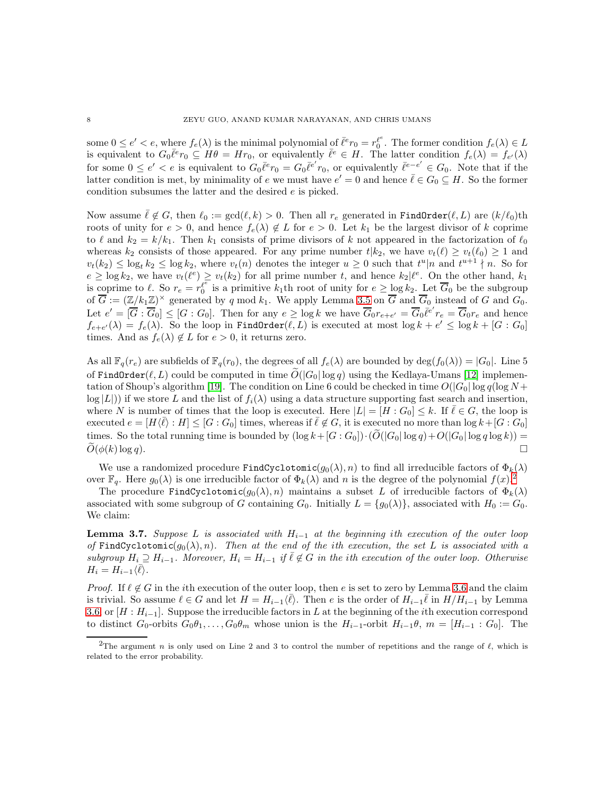some  $0 \leq e' < e$ , where  $f_e(\lambda)$  is the minimal polynomial of  $\overline{\ell}^e r_0 = r_0^{\ell^e}$ . The former condition  $f_e(\lambda) \in L$ is equivalent to  $G_0 \bar{\ell}^e r_0 \subseteq H\theta = H r_0$ , or equivalently  $\bar{\ell}^e \in H$ . The latter condition  $f_e(\lambda) = f_{e'}(\lambda)$ for some  $0 \leq e' < e$  is equivalent to  $G_0 \overline{\ell}^e r_0 = G_0 \overline{\ell}^{e'} r_0$ , or equivalently  $\overline{\ell}^{e-e'} \in G_0$ . Note that if the latter condition is met, by minimality of e we must have  $e' = 0$  and hence  $\bar{\ell} \in G_0 \subseteq H$ . So the former condition subsumes the latter and the desired e is picked.

Now assume  $\bar{\ell} \notin G$ , then  $\ell_0 := \gcd(\ell, k) > 0$ . Then all  $r_e$  generated in FindOrder $(\ell, L)$  are  $(k/\ell_0)$ th roots of unity for  $e > 0$ , and hence  $f_e(\lambda) \notin L$  for  $e > 0$ . Let  $k_1$  be the largest divisor of k coprime to  $\ell$  and  $k_2 = k/k_1$ . Then  $k_1$  consists of prime divisors of k not appeared in the factorization of  $\ell_0$ whereas  $k_2$  consists of those appeared. For any prime number  $t|k_2$ , we have  $v_t(\ell) \ge v_t(\ell_0) \ge 1$  and  $v_t(k_2) \leq \log_t k_2 \leq \log k_2$ , where  $v_t(n)$  denotes the integer  $u \geq 0$  such that  $t^u|n$  and  $t^{u+1} \nmid n$ . So for  $e \geq \log k_2$ , we have  $v_t(\ell^e) \geq v_t(k_2)$  for all prime number t, and hence  $k_2|\ell^e$ . On the other hand,  $k_1$ is coprime to  $\ell$ . So  $r_e = r_0^{\ell^e}$  is a primitive  $k_1$ th root of unity for  $e \ge \log k_2$ . Let  $\overline{G}_0$  be the subgroup of  $\overline{G} := (\mathbb{Z}/k_1\mathbb{Z})^{\times}$  generated by q mod  $k_1$ . We apply Lemma [3.5](#page-6-0) on  $\overline{G}$  and  $\overline{G}_0$  instead of G and  $G_0$ . Let  $e' = [\overline{G} : \overline{G}_0] \leq [G : G_0]$ . Then for any  $e \geq \log k$  we have  $\overline{G}_0 r_{e+e'} = \overline{G}_0 \overline{\ell}^{e'} r_e = \overline{G}_0 r_e$  and hence  $f_{e+e'}(\lambda) = f_e(\lambda)$ . So the loop in FindOrder $(\ell, L)$  is executed at most  $\log k + e' \leq \log k + [G:G_0]$ times. And as  $f_e(\lambda) \notin L$  for  $e > 0$ , it returns zero.

As all  $\mathbb{F}_q(r_e)$  are subfields of  $\mathbb{F}_q(r_0)$ , the degrees of all  $f_e(\lambda)$  are bounded by deg $(f_0(\lambda)) = |G_0|$ . Line 5 of FindOrder( $\ell, L$ ) could be computed in time  $\tilde{O}(|G_0| \log q)$  using the Kedlaya-Umans [\[12\]](#page-15-0) implemen-tation of Shoup's algorithm [\[19\]](#page-15-13). The condition on Line 6 could be checked in time  $O(|G_0| \log q(\log N +$  $\log |L|$ ) if we store L and the list of  $f_i(\lambda)$  using a data structure supporting fast search and insertion, where N is number of times that the loop is executed. Here  $|L| = [H : G_0] \leq k$ . If  $\ell \in G$ , the loop is executed  $e = [H \langle \overline{\ell} \rangle : H] \leq [G : G_0]$  times, whereas if  $\overline{\ell} \notin G$ , it is executed no more than  $\log k + [G : G_0]$ times. So the total running time is bounded by  $(\log k+[G:G_0])\cdot(\widetilde{O}(|G_0|\log q)+O(|G_0|\log q\log k))=\widetilde{O}(\phi(k)\log q)$ .  $\widetilde{O}(\phi(k) \log q).$ 

We use a randomized procedure FindCyclotomic( $g_0(\lambda), n$ ) to find all irreducible factors of  $\Phi_k(\lambda)$ over  $\mathbb{F}_q$ . Here  $g_0(\lambda)$  is one irreducible factor of  $\Phi_k(\lambda)$  and n is the degree of the polynomial  $f(x)$ .

The procedure FindCyclotomic( $g_0(\lambda), n$ ) maintains a subset L of irreducible factors of  $\Phi_k(\lambda)$ associated with some subgroup of G containing  $G_0$ . Initially  $L = \{g_0(\lambda)\}\)$ , associated with  $H_0 := G_0$ . We claim:

<span id="page-7-1"></span>Lemma 3.7. *Suppose* L *is associated with* Hi−<sup>1</sup> *at the beginning* i*th execution of the outer loop of* FindCyclotomic( $g_0(\lambda), n$ ). Then at the end of the ith execution, the set L is associated with a *subgroup*  $H_i \supseteq H_{i-1}$ . Moreover,  $H_i = H_{i-1}$  *if*  $\overline{\ell} \notin G$  *in the ith execution of the outer loop. Otherwise*  $H_i = H_{i-1}\langle \bar{\ell} \rangle.$ 

*Proof.* If  $\ell \notin G$  in the *i*th execution of the outer loop, then e is set to zero by Lemma [3.6](#page-6-1) and the claim is trivial. So assume  $\ell \in G$  and let  $H = H_{i-1}(\bar{\ell})$ . Then e is the order of  $H_{i-1}\bar{\ell}$  in  $H/H_{i-1}$  by Lemma [3.6,](#page-6-1) or  $[H : H_{i-1}]$ . Suppose the irreducible factors in L at the beginning of the *i*th execution correspond to distinct  $G_0$ -orbits  $G_0\theta_1, \ldots, G_0\theta_m$  whose union is the  $H_{i-1}$ -orbit  $H_{i-1}\theta$ ,  $m = [H_{i-1} : G_0]$ . The

<span id="page-7-0"></span><sup>&</sup>lt;sup>2</sup>The argument n is only used on Line 2 and 3 to control the number of repetitions and the range of  $\ell$ , which is related to the error probability.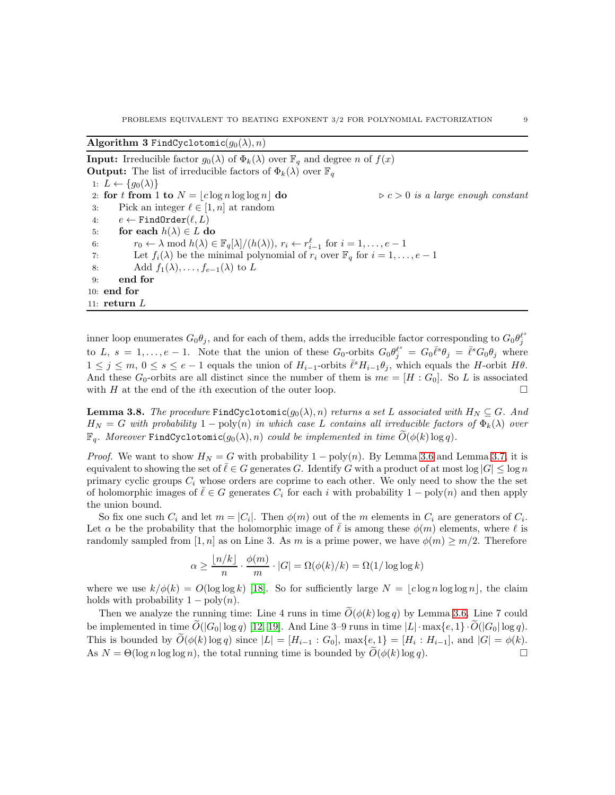Algorithm 3 FindCyclotomic $(g_0(\lambda), n)$ 

**Input:** Irreducible factor  $g_0(\lambda)$  of  $\Phi_k(\lambda)$  over  $\mathbb{F}_q$  and degree n of  $f(x)$ **Output:** The list of irreducible factors of  $\Phi_k(\lambda)$  over  $\mathbb{F}_q$ 1:  $L \leftarrow \{g_0(\lambda)\}\$ 2: **for t from 1 to**  $N = \lfloor c \log n \log \log n \rfloor$  **do**  $\geq c > 0$  *is a large enough constant* 3: Pick an integer  $\ell \in [1, n]$  at random 3: Pick an integer  $\ell \in [1, n]$  at random<br>4:  $e \leftarrow \text{FindOrder}(\ell, L)$ 4:  $e \leftarrow \text{FindOrder}(\ell, L)$ <br>5: **for each**  $h(\lambda) \in L$  **d** for each  $h(\lambda) \in L$  do 6:  $r_0 \leftarrow \lambda \mod h(\lambda) \in \mathbb{F}_q[\lambda]/(h(\lambda)), r_i \leftarrow r_{i-1}^{\ell} \text{ for } i = 1, \ldots, e-1$ 7: Let  $f_i(\lambda)$  be the minimal polynomial of  $r_i$  over  $\mathbb{F}_q$  for  $i = 1, \ldots, e-1$ <br>8: Add  $f_1(\lambda)$ ,  $f_{e-1}(\lambda)$  to  $L$ Add  $f_1(\lambda), \ldots, f_{e-1}(\lambda)$  to L 9: end for 10: end for 11:  $return L$ 

inner loop enumerates  $G_0\theta_j$ , and for each of them, adds the irreducible factor corresponding to  $G_0\theta_j^{\ell^s}$ to L,  $s = 1, \ldots, e-1$ . Note that the union of these  $G_0$ -orbits  $G_0 \theta_j^{\ell^s} = G_0 \overline{\ell^s} \theta_j = \overline{\ell^s} G_0 \theta_j$  where  $1 \leq j \leq m, 0 \leq s \leq e-1$  equals the union of  $H_{i-1}$ -orbits  $\bar{\ell}^s H_{i-1} \theta_j$ , which equals the H-orbit  $H\theta$ . And these  $G_0$ -orbits are all distinct since the number of them is  $me = [H : G_0]$ . So L is associated with H at the end of the *i*th execution of the outer loop.  $\Box$ 

<span id="page-8-0"></span>**Lemma 3.8.** *The procedure* FindCyclotomic( $g_0(\lambda), n$ ) *returns a set* L *associated with*  $H_N \subseteq G$ *. And*  $H_N = G$  with probability  $1 - \text{poly}(n)$  in which case L contains all irreducible factors of  $\Phi_k(\lambda)$  over  $\mathbb{F}_q$ *. Moreover* FindCyclotomic( $g_0(\lambda), n$ ) *could be implemented in time*  $\tilde{O}(\phi(k) \log q)$ *.* 

*Proof.* We want to show  $H_N = G$  with probability  $1 - \text{poly}(n)$ . By Lemma [3.6](#page-6-1) and Lemma [3.7,](#page-7-1) it is equivalent to showing the set of  $\ell \in G$  generates G. Identify G with a product of at most  $\log |G| \leq \log n$ primary cyclic groups  $C_i$  whose orders are coprime to each other. We only need to show the the set of holomorphic images of  $\ell \in G$  generates  $C_i$  for each i with probability  $1 - \text{poly}(n)$  and then apply the union bound.

So fix one such  $C_i$  and let  $m = |C_i|$ . Then  $\phi(m)$  out of the m elements in  $C_i$  are generators of  $C_i$ . Let  $\alpha$  be the probability that the holomorphic image of  $\ell$  is among these  $\phi(m)$  elements, where  $\ell$  is randomly sampled from [1, n] as on Line 3. As m is a prime power, we have  $\phi(m) \geq m/2$ . Therefore

$$
\alpha \ge \frac{\lfloor n/k \rfloor}{n} \cdot \frac{\phi(m)}{m} \cdot |G| = \Omega(\phi(k)/k) = \Omega(1/\log \log k)
$$

where we use  $k/\phi(k) = O(\log \log k)$  [\[18\]](#page-15-12). So for sufficiently large  $N = |c \log n \log \log n|$ , the claim holds with probability  $1 - \text{poly}(n)$ .

Then we analyze the running time: Line 4 runs in time  $\tilde{O}(\phi(k) \log q)$  by Lemma [3.6.](#page-6-1) Line 7 could be implemented in time  $\tilde{O}(|G_0| \log q)$  [\[12,](#page-15-0) [19\]](#page-15-13). And Line 3–9 runs in time  $|L| \cdot \max\{e, 1\} \cdot \tilde{O}(|G_0| \log q)$ . This is bounded by  $O(\phi(k) \log q)$  since  $|L| = [H_{i-1} : G_0]$ ,  $\max\{e, 1\} = [H_i : H_{i-1}]$ , and  $|G| = \phi(k)$ . As  $N = \Theta(\log n \log \log n)$ , the total running time is bounded by  $\tilde{O}(\phi(k) \log q)$ .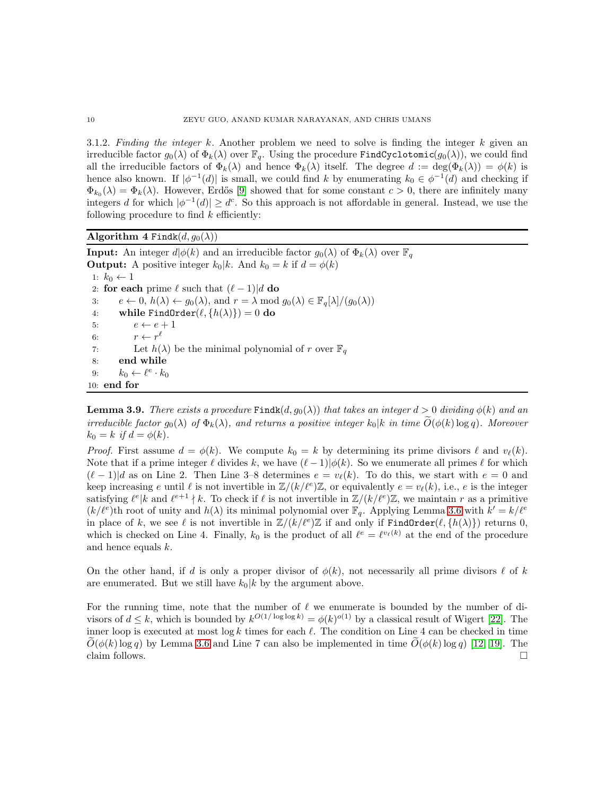3.1.2. *Finding the integer* k*.* Another problem we need to solve is finding the integer k given an irreducible factor  $g_0(\lambda)$  of  $\Phi_k(\lambda)$  over  $\mathbb{F}_q$ . Using the procedure FindCyclotomic( $g_0(\lambda)$ ), we could find all the irreducible factors of  $\Phi_k(\lambda)$  and hence  $\Phi_k(\lambda)$  itself. The degree  $d := \deg(\Phi_k(\lambda)) = \phi(k)$  is hence also known. If  $|\phi^{-1}(d)|$  is small, we could find k by enumerating  $k_0 \in \phi^{-1}(d)$  and checking if  $\Phi_{k_0}(\lambda) = \Phi_k(\lambda)$ . However, Erdős [\[9\]](#page-14-5) showed that for some constant  $c > 0$ , there are infinitely many integers d for which  $|\phi^{-1}(d)| \geq d^c$ . So this approach is not affordable in general. Instead, we use the following procedure to find  $k$  efficiently:

Algorithm 4 Findk $(d, g_0(\lambda))$ 

**Input:** An integer  $d|\phi(k)$  and an irreducible factor  $g_0(\lambda)$  of  $\Phi_k(\lambda)$  over  $\mathbb{F}_q$ **Output:** A positive integer  $k_0|k$ . And  $k_0 = k$  if  $d = \phi(k)$ 1:  $k_0 \leftarrow 1$ 2: **for each** prime  $\ell$  such that  $(\ell - 1)|d$  **do**<br>3:  $e \leftarrow 0, h(\lambda) \leftarrow q_0(\lambda)$ , and  $r = \lambda \text{ mod } \ell$ 3:  $e \leftarrow 0, h(\lambda) \leftarrow g_0(\lambda), \text{ and } r = \lambda \text{ mod } g_0(\lambda) \in \mathbb{F}_q[\lambda]/(g_0(\lambda))$ <br>4: while FindOrder $(\ell, \{h(\lambda)\}) = 0$  do 4: while FindOrder $(\ell, \{h(\lambda)\}) = 0$  do<br>5:  $e \leftarrow e + 1$ 5:  $e \leftarrow e + 1$ <br>6:  $r \leftarrow r^{\ell}$ 6:  $r \leftarrow r^{\ell}$ 7: Let  $h(\lambda)$  be the minimal polynomial of r over  $\mathbb{F}_q$ 8: end while 9:  $k_0 \leftarrow \ell^e \cdot k_0$ 10: end for

<span id="page-9-0"></span>**Lemma 3.9.** *There exists a procedure* Findk $(d, g_0(\lambda))$  *that takes an integer*  $d > 0$  *dividing*  $\phi(k)$  *and an irreducible factor*  $g_0(\lambda)$  *of*  $\Phi_k(\lambda)$ *, and returns a positive integer*  $k_0|k$  *in time*  $O(\phi(k) \log q)$ *. Moreover*  $k_0 = k$  *if*  $d = \phi(k)$ .

*Proof.* First assume  $d = \phi(k)$ . We compute  $k_0 = k$  by determining its prime divisors  $\ell$  and  $v_{\ell}(k)$ . Note that if a prime integer  $\ell$  divides k, we have  $(\ell-1)|\phi(k)$ . So we enumerate all primes  $\ell$  for which  $(\ell-1)|d$  as on Line 2. Then Line 3–8 determines  $e = v_{\ell}(k)$ . To do this, we start with  $e = 0$  and keep increasing e until  $\ell$  is not invertible in  $\mathbb{Z}/(k/\ell^e)\mathbb{Z}$ , or equivalently  $e = v_{\ell}(k)$ , i.e., e is the integer satisfying  $\ell^e | k$  and  $\ell^{e+1} \nmid k$ . To check if  $\ell$  is not invertible in  $\mathbb{Z}/(k/\ell^e)\mathbb{Z}$ , we maintain r as a primitive  $(k/\ell^e)$ th root of unity and  $h(\lambda)$  its minimal polynomial over  $\mathbb{F}_q$ . Applying Lemma [3.6](#page-6-1) with  $k'=k/\ell^e$ in place of k, we see  $\ell$  is not invertible in  $\mathbb{Z}/(k/\ell^e)\mathbb{Z}$  if and only if  $\text{FindOrder}(\ell, \{h(\lambda)\})$  returns 0, which is checked on Line 4. Finally,  $k_0$  is the product of all  $\ell^e = \ell^{v_\ell(k)}$  at the end of the procedure and hence equals k.

On the other hand, if d is only a proper divisor of  $\phi(k)$ , not necessarily all prime divisors  $\ell$  of k are enumerated. But we still have  $k_0|k$  by the argument above.

For the running time, note that the number of  $\ell$  we enumerate is bounded by the number of divisors of  $d \leq k$ , which is bounded by  $k^{O(1/\log \log k)} = \phi(k)^{O(1)}$  by a classical result of Wigert [\[22\]](#page-15-14). The inner loop is executed at most log k times for each  $\ell$ . The condition on Line 4 can be checked in time  $O(\phi(k) \log q)$  by Lemma [3.6](#page-6-1) and Line 7 can also be implemented in time  $O(\phi(k) \log q)$  [\[12,](#page-15-0) [19\]](#page-15-13). The claim follows. claim follows.  $\Box$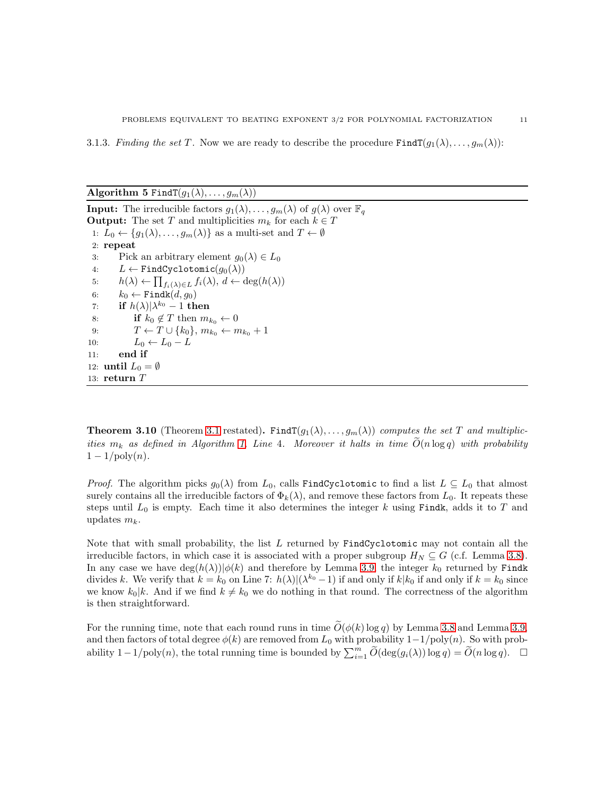3.1.3. *Finding the set* T. Now we are ready to describe the procedure  $\text{FindT}(g_1(\lambda), \ldots, g_m(\lambda))$ :

Algorithm 5 FindT $(g_1(\lambda), \ldots, g_m(\lambda))$ 

**Input:** The irreducible factors  $g_1(\lambda), \ldots, g_m(\lambda)$  of  $g(\lambda)$  over  $\mathbb{F}_q$ **Output:** The set T and multiplicities  $m_k$  for each  $k \in T$ 1:  $L_0 \leftarrow \{g_1(\lambda), \ldots, g_m(\lambda)\}\$ as a multi-set and  $T \leftarrow \emptyset$ 2: repeat 3: Pick an arbitrary element  $g_0(\lambda) \in L_0$ <br>4:  $L \leftarrow \text{FindCyclotomic}(g_0(\lambda))$ 4:  $L \leftarrow \text{FindCyclotomic}(g_0(\lambda))$ <br>5:  $h(\lambda) \leftarrow \prod_{f: (\lambda) \in I} f_i(\lambda), d \leftarrow 0$ 5:  $h(\lambda) \leftarrow \prod_{f_i(\lambda) \in L} f_i(\lambda), d \leftarrow \deg(h(\lambda))$ 6:  $k_0 \leftarrow \text{Findk}(d, g_0)$ <br>7: **if**  $h(\lambda)|\lambda^{k_0} - 1$  **th** 7: if  $h(\lambda)|\lambda^{k_0}-1$  then 8: **if**  $k_0 \notin T$  then  $m_{k_0} \leftarrow 0$ <br>9:  $T \leftarrow T \cup \{k_0\}, m_{k_0} \leftarrow m$ 9:  $T \leftarrow T \cup \{k_0\}, m_{k_0} \leftarrow m_{k_0} + 1$ <br>10:  $L_0 \leftarrow L_0 - L$ 10:  $L_0 \leftarrow L_0 - L$ <br>11: **end if** end if 12: until  $L_0 = \emptyset$ 13: return  $T$ 

**Theorem [3.1](#page-4-0)0** (Theorem 3.1 restated). Find  $T(g_1(\lambda), \ldots, g_m(\lambda))$  *computes the set* T *and multiplicities*  $m_k$  *as defined in Algorithm [1,](#page-4-1) Line 4. Moreover it halts in time*  $\tilde{O}(n \log q)$  *with probability*  $1 - 1/\text{poly}(n)$ .

*Proof.* The algorithm picks  $g_0(\lambda)$  from  $L_0$ , calls FindCyclotomic to find a list  $L \subseteq L_0$  that almost surely contains all the irreducible factors of  $\Phi_k(\lambda)$ , and remove these factors from  $L_0$ . It repeats these steps until  $L_0$  is empty. Each time it also determines the integer k using Findk, adds it to T and updates  $m_k$ .

Note that with small probability, the list  $L$  returned by  $FindCyclotomic$  may not contain all the irreducible factors, in which case it is associated with a proper subgroup  $H_N \subseteq G$  (c.f. Lemma [3.8\)](#page-8-0). In any case we have  $\deg(h(\lambda))|\phi(k)$  and therefore by Lemma [3.9,](#page-9-0) the integer  $k_0$  returned by Findk divides k. We verify that  $k = k_0$  on Line 7:  $h(\lambda)|(\lambda^{k_0} - 1)$  if and only if  $k|k_0$  if and only if  $k = k_0$  since we know  $k_0|k$ . And if we find  $k \neq k_0$  we do nothing in that round. The correctness of the algorithm is then straightforward.

For the running time, note that each round runs in time  $\tilde{O}(\phi(k) \log q)$  by Lemma [3.8](#page-8-0) and Lemma [3.9,](#page-9-0) and then factors of total degree  $\phi(k)$  are removed from  $L_0$  with probability  $1-\frac{1}{\text{poly}}(n)$ . So with probability  $1-1/\text{poly}(n)$ , the total running time is bounded by  $\sum_{i=1}^{m} \widetilde{O}(\deg(g_i(\lambda)) \log q) = \widetilde{O}(n \log q)$ . □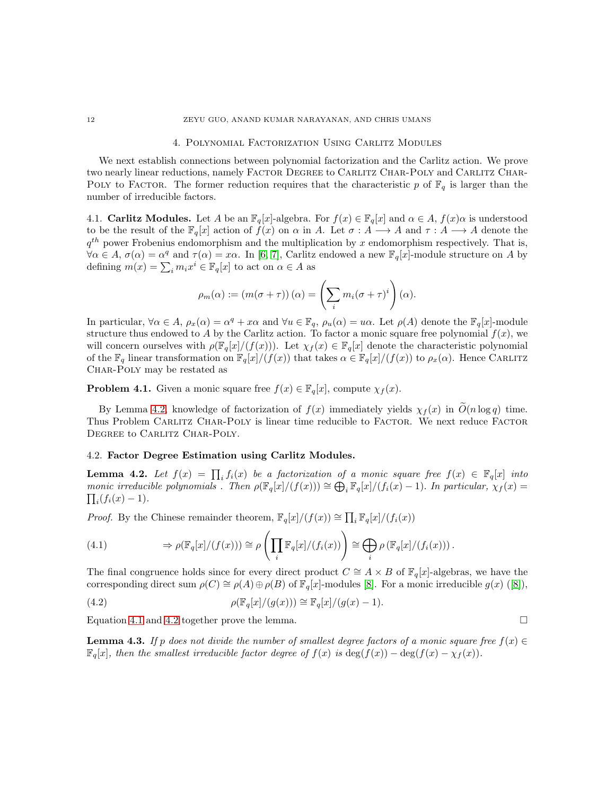#### 4. Polynomial Factorization Using Carlitz Modules

<span id="page-11-0"></span>We next establish connections between polynomial factorization and the Carlitz action. We prove two nearly linear reductions, namely FACTOR DEGREE to CARLITZ CHAR-POLY and CARLITZ CHAR-POLY to FACTOR. The former reduction requires that the characteristic p of  $\mathbb{F}_q$  is larger than the number of irreducible factors.

4.1. **Carlitz Modules.** Let A be an  $\mathbb{F}_q[x]$ -algebra. For  $f(x) \in \mathbb{F}_q[x]$  and  $\alpha \in A$ ,  $f(x)\alpha$  is understood to be the result of the  $\mathbb{F}_q[x]$  action of  $f(x)$  on  $\alpha$  in A. Let  $\sigma : A \longrightarrow A$  and  $\tau : A \longrightarrow A$  denote the  $q^{th}$  power Frobenius endomorphism and the multiplication by x endomorphism respectively. That is,  $\forall \alpha \in A, \sigma(\alpha) = \alpha^q$  and  $\tau(\alpha) = x\alpha$ . In [\[6,](#page-14-6) [7\]](#page-14-7), Carlitz endowed a new  $\mathbb{F}_q[x]$ -module structure on A by defining  $m(x) = \sum_i m_i x^i \in \mathbb{F}_q[x]$  to act on  $\alpha \in A$  as

$$
\rho_m(\alpha) := (m(\sigma + \tau))(\alpha) = \left(\sum_i m_i(\sigma + \tau)^i\right)(\alpha).
$$

In particular,  $\forall \alpha \in A$ ,  $\rho_x(\alpha) = \alpha^q + x\alpha$  and  $\forall u \in \mathbb{F}_q$ ,  $\rho_u(\alpha) = u\alpha$ . Let  $\rho(A)$  denote the  $\mathbb{F}_q[x]$ -module structure thus endowed to A by the Carlitz action. To factor a monic square free polynomial  $f(x)$ , we will concern ourselves with  $\rho(\mathbb{F}_q[x]/(f(x)))$ . Let  $\chi_f(x) \in \mathbb{F}_q[x]$  denote the characteristic polynomial of the  $\mathbb{F}_q$  linear transformation on  $\mathbb{F}_q[x]/(f(x))$  that takes  $\alpha \in \mathbb{F}_q[x]/(f(x))$  to  $\rho_x(\alpha)$ . Hence CARLITZ CHAR-POLY may be restated as

<span id="page-11-5"></span>**Problem 4.1.** Given a monic square free  $f(x) \in \mathbb{F}_q[x]$ , compute  $\chi_f(x)$ .

By Lemma [4.2,](#page-11-1) knowledge of factorization of  $f(x)$  immediately yields  $\chi_f(x)$  in  $\tilde{O}(n \log q)$  time. Thus Problem CARLITZ CHAR-POLY is linear time reducible to FACTOR. We next reduce FACTOR DEGREE to CARLITZ CHAR-POLY.

#### 4.2. Factor Degree Estimation using Carlitz Modules.

<span id="page-11-1"></span>**Lemma 4.2.** Let  $f(x) = \prod_i f_i(x)$  be a factorization of a monic square free  $f(x) \in \mathbb{F}_q[x]$  into *monic irreducible polynomials . Then*  $\rho(\mathbb{F}_q[x]/(f(x))) \cong \bigoplus_i \mathbb{F}_q[x]/(f_i(x) - 1)$ . *In particular,*  $\chi_f(x) =$  $\prod_i (f_i(x) - 1)$ .

*Proof.* By the Chinese remainder theorem,  $\mathbb{F}_q[x]/(f(x)) \cong \prod_i \mathbb{F}_q[x]/(f_i(x))$ 

<span id="page-11-2"></span>(4.1) 
$$
\Rightarrow \rho(\mathbb{F}_q[x]/(f(x))) \cong \rho\left(\prod_i \mathbb{F}_q[x]/(f_i(x))\right) \cong \bigoplus_i \rho\left(\mathbb{F}_q[x]/(f_i(x))\right).
$$

The final congruence holds since for every direct product  $C \cong A \times B$  of  $\mathbb{F}_q[x]$ -algebras, we have the corresponding direct sum  $\rho(C) \cong \rho(A) \oplus \rho(B)$  of  $\mathbb{F}_q[x]$ -modules [\[8\]](#page-14-8). For a monic irreducible  $g(x)$  ([\[8\]](#page-14-8)),

<span id="page-11-3"></span>(4.2) 
$$
\rho(\mathbb{F}_q[x]/(g(x))) \cong \mathbb{F}_q[x]/(g(x)-1).
$$

Equation [4.1](#page-11-2) and [4.2](#page-11-3) together prove the lemma.  $\square$ 

<span id="page-11-4"></span>**Lemma 4.3.** *If* p does not divide the number of smallest degree factors of a monic square free  $f(x) \in$  $\mathbb{F}_q[x]$ *, then the smallest irreducible factor degree of*  $f(x)$  *is* deg( $f(x) - \deg(f(x) - \chi_f(x))$ *.*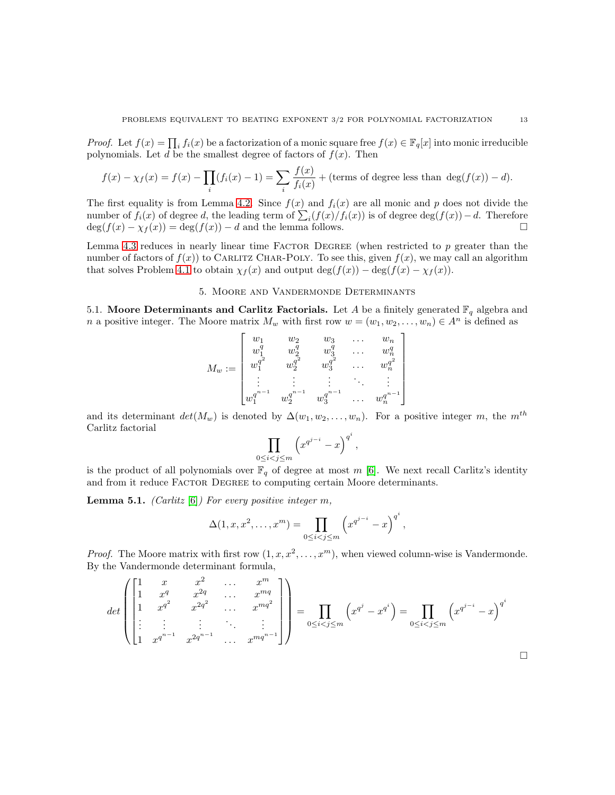*Proof.* Let  $f(x) = \prod_i f_i(x)$  be a factorization of a monic square free  $f(x) \in \mathbb{F}_q[x]$  into monic irreducible polynomials. Let d be the smallest degree of factors of  $f(x)$ . Then

$$
f(x) - \chi_f(x) = f(x) - \prod_i (f_i(x) - 1) = \sum_i \frac{f(x)}{f_i(x)} + \text{(terms of degree less than } \deg(f(x)) - d\text{)}.
$$

The first equality is from Lemma [4.2.](#page-11-1) Since  $f(x)$  and  $f_i(x)$  are all monic and p does not divide the number of  $f_i(x)$  of degree d, the leading term of  $\sum_i (f(x)/f_i(x))$  is of degree  $\deg(f(x)) - d$ . Therefore  $\deg(f(x) - \chi_f(x)) = \deg(f(x)) - d$  and the lemma follows.

Lemma [4.3](#page-11-4) reduces in nearly linear time FACTOR DEGREE (when restricted to  $p$  greater than the number of factors of  $f(x)$  to CARLITZ CHAR-POLY. To see this, given  $f(x)$ , we may call an algorithm that solves Problem [4.1](#page-11-5) to obtain  $\chi_f(x)$  and output deg( $f(x)$ ) – deg( $f(x) - \chi_f(x)$ ).

# 5. Moore and Vandermonde Determinants

<span id="page-12-0"></span>5.1. Moore Determinants and Carlitz Factorials. Let A be a finitely generated  $\mathbb{F}_q$  algebra and n a positive integer. The Moore matrix  $M_w$  with first row  $w = (w_1, w_2, \dots, w_n) \in A^n$  is defined as

$$
M_w:=\begin{bmatrix}w_1&w_2&w_3&\dots&w_n\\w_1^q&w_2^q&w_3^q&\dots&w_n^q\\w_1^{q^2}&w_2^{q^2}&w_3^{q^2}&\dots&w_n^{q^2}\\ \vdots&\vdots&\vdots&\ddots&\vdots\\w_1^{q^{n-1}}&w_2^{q^{n-1}}&w_3^{q^{n-1}}&\dots&w_n^{q^{n-1}}\end{bmatrix}
$$

and its determinant  $det(M_w)$  is denoted by  $\Delta(w_1, w_2, \ldots, w_n)$ . For a positive integer m, the m<sup>th</sup> Carlitz factorial i

$$
\prod_{0 \le i < j \le m} \left( x^{q^{j-i}} - x \right)^{q^i}
$$

,

is the product of all polynomials over  $\mathbb{F}_q$  of degree at most m [\[6\]](#page-14-6). We next recall Carlitz's identity and from it reduce FACTOR DEGREE to computing certain Moore determinants.

<span id="page-12-1"></span>Lemma 5.1. *(Carlitz* [\[6\]](#page-14-6)*) For every positive integer* m*,*

$$
\Delta(1, x, x^2, \dots, x^m) = \prod_{0 \le i < j \le m} \left( x^{q^{j-i}} - x \right)^{q^i},
$$

*Proof.* The Moore matrix with first row  $(1, x, x^2, \ldots, x^m)$ , when viewed column-wise is Vandermonde. By the Vandermonde determinant formula,

$$
det\begin{pmatrix} 1 & x & x^2 & \dots & x^m \\ 1 & x^q & x^{2q} & \dots & x^{mq} \\ \vdots & \vdots & \vdots & \ddots & \vdots \\ 1 & x^{q^{n-1}} & x^{2q^{n-1}} & \dots & x^{mq^{n-1}} \end{pmatrix} = \prod_{0 \le i < j \le m} \left( x^{q^j} - x^{q^i} \right) = \prod_{0 \le i < j \le m} \left( x^{q^{j-i}} - x \right)^{q^i}
$$

 $\Box$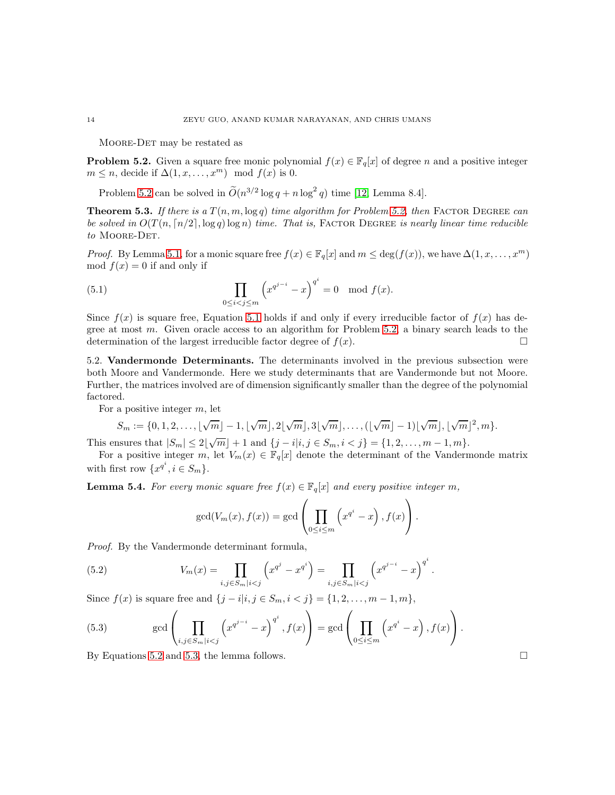Moore-Det may be restated as

<span id="page-13-0"></span>**Problem 5.2.** Given a square free monic polynomial  $f(x) \in \mathbb{F}_q[x]$  of degree n and a positive integer  $m \leq n$ , decide if  $\Delta(1, x, \ldots, x^m) \mod f(x)$  is 0.

Problem [5.2](#page-13-0) can be solved in  $\widetilde{O}(n^{3/2} \log q + n \log^2 q)$  time [\[12,](#page-15-0) Lemma 8.4].

<span id="page-13-5"></span>**Theorem 5.3.** If there is a  $T(n, m, \log q)$  time algorithm for Problem [5.2,](#page-13-0) then FACTOR DEGREE can *be solved in*  $O(T(n, \lceil n/2 \rceil, \log q) \log n)$  *time. That is,* FACTOR DEGREE *is nearly linear time reducible to* Moore-Det*.*

*Proof.* By Lemma [5.1,](#page-12-1) for a monic square free  $f(x) \in \mathbb{F}_q[x]$  and  $m \leq \deg(f(x))$ , we have  $\Delta(1, x, \ldots, x^m)$ mod  $f(x) = 0$  if and only if

<span id="page-13-1"></span>(5.1) 
$$
\prod_{0 \le i < j \le m} \left( x^{q^{j-i}} - x \right)^{q^i} = 0 \mod f(x).
$$

Since  $f(x)$  is square free, Equation [5.1](#page-13-1) holds if and only if every irreducible factor of  $f(x)$  has degree at most  $m$ . Given oracle access to an algorithm for Problem [5.2,](#page-13-0) a binary search leads to the determination of the largest irreducible factor degree of  $f(x)$ .

5.2. Vandermonde Determinants. The determinants involved in the previous subsection were both Moore and Vandermonde. Here we study determinants that are Vandermonde but not Moore. Further, the matrices involved are of dimension significantly smaller than the degree of the polynomial factored.

For a positive integer  $m$ , let

$$
S_m := \{0, 1, 2, \ldots, \lfloor \sqrt{m} \rfloor - 1, \lfloor \sqrt{m} \rfloor, 2 \lfloor \sqrt{m} \rfloor, 3 \lfloor \sqrt{m} \rfloor, \ldots, (\lfloor \sqrt{m} \rfloor - 1) \lfloor \sqrt{m} \rfloor, \lfloor \sqrt{m} \rfloor^2, m\}.
$$

This ensures that  $|S_m| \le 2\lfloor \sqrt{m} \rfloor + 1$  and  $\{j - i | i, j \in S_m, i < j\} = \{1, 2, ..., m - 1, m\}.$ 

For a positive integer m, let  $V_m(x) \in \mathbb{F}_q[x]$  denote the determinant of the Vandermonde matrix with first row  $\{x^{q^i}, i \in S_m\}.$ 

<span id="page-13-4"></span>**Lemma 5.4.** *For every monic square free*  $f(x) \in \mathbb{F}_q[x]$  *and every positive integer m*,

<span id="page-13-2"></span>
$$
\gcd(V_m(x), f(x)) = \gcd\left(\prod_{0 \le i \le m} \left(x^{q^i} - x\right), f(x)\right).
$$

*Proof.* By the Vandermonde determinant formula,

(5.2) 
$$
V_m(x) = \prod_{i,j \in S_m | i < j} \left( x^{q^j} - x^{q^i} \right) = \prod_{i,j \in S_m | i < j} \left( x^{q^{j-i}} - x \right)^{q^i}.
$$

Since  $f(x)$  is square free and  $\{j - i|i, j \in S_m, i < j\} = \{1, 2, ..., m - 1, m\},\$ 

<span id="page-13-3"></span>(5.3) 
$$
\gcd\left(\prod_{i,j\in S_m|i
$$

By Equations [5.2](#page-13-2) and [5.3,](#page-13-3) the lemma follows.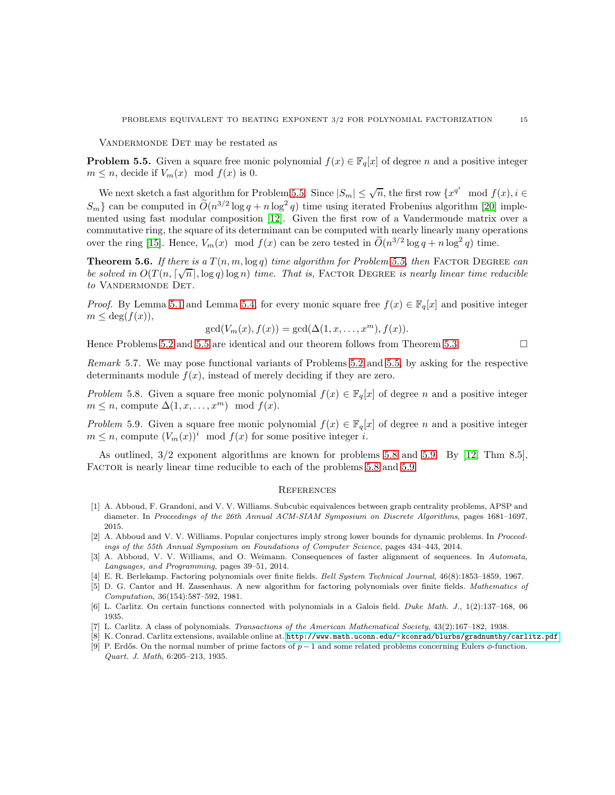VANDERMONDE DET may be restated as

<span id="page-14-9"></span>**Problem 5.5.** Given a square free monic polynomial  $f(x) \in \mathbb{F}_q[x]$  of degree n and a positive integer  $m \leq n$ , decide if  $V_m(x) \mod f(x)$  is 0.

We next sketch a fast algorithm for Problem [5.5.](#page-14-9) Since  $|S_m| \leq \sqrt{n}$ , the first row  $\{x^{q^i} \mod f(x), i \in \mathbb{R}\}$  $S_m$ } can be computed in  $\tilde{O}(n^{3/2} \log q + n \log^2 q)$  time using iterated Frobenius algorithm [\[20\]](#page-15-9) implemented using fast modular composition [\[12\]](#page-15-0). Given the first row of a Vandermonde matrix over a commutative ring, the square of its determinant can be computed with nearly linearly many operations over the ring [\[15\]](#page-15-15). Hence,  $V_m(x) \mod f(x)$  can be zero tested in  $\tilde{O}(n^{3/2} \log q + n \log^2 q)$  time.

**Theorem 5.6.** If there is a  $T(n, m, \log q)$  time algorithm for Problem [5.5,](#page-14-9) then FACTOR DEGREE can *be solved in*  $O(T(n, \lceil \sqrt{n} \rceil, \log q) \log n)$  *time. That is,* FACTOR DEGREE *is nearly linear time reducible to* Vandermonde Det*.*

*Proof.* By Lemma [5.1](#page-12-1) and Lemma [5.4,](#page-13-4) for every monic square free  $f(x) \in \mathbb{F}_q[x]$  and positive integer  $m \leq \deg(f(x)),$ 

$$
\gcd(V_m(x), f(x)) = \gcd(\Delta(1, x, \dots, x^m), f(x)).
$$

Hence Problems [5.2](#page-13-0) and [5.5](#page-14-9) are identical and our theorem follows from Theorem [5.3.](#page-13-5)

*Remark* 5.7*.* We may pose functional variants of Problems [5.2](#page-13-0) and [5.5,](#page-14-9) by asking for the respective determinants module  $f(x)$ , instead of merely deciding if they are zero.

<span id="page-14-10"></span>*Problem* 5.8. Given a square free monic polynomial  $f(x) \in \mathbb{F}_q[x]$  of degree n and a positive integer  $m \leq n$ , compute  $\Delta(1, x, \ldots, x^m) \mod f(x)$ .

<span id="page-14-11"></span>*Problem* 5.9. Given a square free monic polynomial  $f(x) \in \mathbb{F}_q[x]$  of degree n and a positive integer  $m \leq n$ , compute  $(V_m(x))^i \mod f(x)$  for some positive integer i.

As outlined, 3/2 exponent algorithms are known for problems [5.8](#page-14-10) and [5.9.](#page-14-11) By [\[12,](#page-15-0) Thm 8.5], FACTOR is nearly linear time reducible to each of the problems [5.8](#page-14-10) and [5.9.](#page-14-11)

#### **REFERENCES**

- <span id="page-14-0"></span>[1] A. Abboud, F. Grandoni, and V. V. Williams. Subcubic equivalences between graph centrality problems, APSP and diameter. In *Proceedings of the 26th Annual ACM-SIAM Symposium on Discrete Algorithms*, pages 1681–1697, 2015.
- <span id="page-14-1"></span>[2] A. Abboud and V. V. Williams. Popular conjectures imply strong lower bounds for dynamic problems. In *Proceedings of the 55th Annual Symposium on Foundations of Computer Science*, pages 434–443, 2014.
- <span id="page-14-2"></span>[3] A. Abboud, V. V. Williams, and O. Weimann. Consequences of faster alignment of sequences. In *Automata, Languages, and Programming*, pages 39–51, 2014.
- <span id="page-14-4"></span><span id="page-14-3"></span>[4] E. R. Berlekamp. Factoring polynomials over finite fields. *Bell System Technical Journal*, 46(8):1853–1859, 1967.
- [5] D. G. Cantor and H. Zassenhaus. A new algorithm for factoring polynomials over finite fields. *Mathematics of Computation*, 36(154):587–592, 1981.
- <span id="page-14-7"></span><span id="page-14-6"></span>[6] L. Carlitz. On certain functions connected with polynomials in a Galois field. *Duke Math. J.*, 1(2):137–168, 06 1935.
- <span id="page-14-8"></span>[7] L. Carlitz. A class of polynomials. *Transactions of the American Mathematical Society*, 43(2):167–182, 1938.
- <span id="page-14-5"></span>[8] K. Conrad. Carlitz extensions, available online at. <http://www.math.uconn.edu/~kconrad/blurbs/gradnumthy/carlitz.pdf>.
- [9] P. Erdős. On the normal number of prime factors of  $p-1$  and some related problems concerning Eulers  $\phi$ -function. *Quart. J. Math*, 6:205–213, 1935.